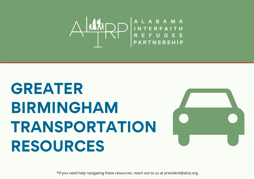

# **GREATER BIRMINGHAM TRANSPORTATION RESOURCES**



\*If you need help navigating these resources, reach out to us at president@alirp.org.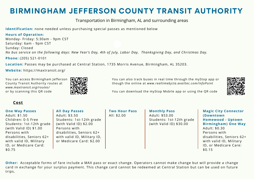### **BIRMINGHAM JEFFERSON COUNTY TRANSIT AUTHORITY**

#### Transportation in Birmingham, AL and surrounding areas

**Identification:** none needed unless purchasing special passes as mentioned below

#### **Hours of Operation:**

Monday- Friday: 5:30am - 9pm CST Saturday: 6am - 9pm CST Sunday: Closed No bus service on the following days: New Year's Day, 4th of July, Labor Day, Thanksgiving Day, and Christmas Day.

**Phone:** (205) 521-0101

**Location:** Passes may be purchased at Central Station, 1735 Morris Avenue, Birmingham, AL 35203.

**Website:** https://maxtransit.org/

You can access Birmingham Jefferson County Transit Authority routes at *www.maxtransit.org/routes/* or by scanning this QR code



You can also track buses in real time through the myStop app or though the online at *www.realtimebjcta.availtec.com/InfoPoint*



You can download the myStop Mobile app or using the QR code

#### **Cost**

#### **One Way Passes** Adult: \$1.50 Children: 0-5 Free Students: 1st-12th grade (with Valid ID) \$1.00 Persons with disabilities, Seniors 62+ with valid ID, Military ID, or Medicare Card: \$0.75

**All Day Passes** Adult: \$3.50

Students: 1st-12th grade (with Valid ID) \$2.00 Persons with disabilities, Seniors 62+ with valid ID, Military ID, or Medicare Card: \$2.00

**Two Hour Pass** All: \$2.00

**Monthly Pass** Adult: \$53.00 Students: 1st-12th grade (with Valid ID) \$30.00

**Magic City Connector (Downtown Homewood - Uptown Birmingham) One Way** Adult: \$0.30 Persons with disabilities, Seniors 62+ with valid ID, Military ID, or Medicare Care: \$0.15

**Other:** Acceptable forms of fare include a MAX pass or exact change. Operators cannot make change but will provide a change card in exchange for your surplus payment. This change card cannot be redeemed at Central Station but can be used on future trips.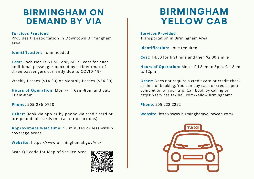### **BIRMINGHAM ON DEMAND BY VIA**

#### **Services Provided**

Provides transportation in Downtown Birmingham area

**Identification:** none needed

**Cost:** Each ride is \$1.50, only \$0.75 cost for each additional passenger booked by a rider (max of three passengers currently due to COVID-19)

Weekly Passes (\$14.00) or Monthly Passes (\$54.00)

**Hours of Operation**: Mon.-Fri. 6am-8pm and Sat. 10am-8pm.

**Phone:** 205-236-0768

**Other:** Book via app or by phone via credit card or pre-paid debit cards (no cash transactions)

**Approximate wait time:** 15 minutes or less within coverage areas

**Website:** https://www.birminghamal.gov/via/

Scan QR code for Map of Service Area



# **BIRMINGHAM YELLOW CAB**

**Services Provided** Transportation in Birmingham Area

**Identification:** none required

**Cost:** \$4.50 for first mile and then \$2.00 a mile

**Hours of Operation:** Mon – Fri 8am to 5pm, Sat 8am to 12pm

**Other:** Does not require a credit card or credit check at time of booking. You can pay cash or credit upon completion of your trip. Can book by calling or https://services.taxihail.com/YellowBirmingham/

**Phone:** 205-222-2222

**Website:** http://www.birminghamyellowcab.com/

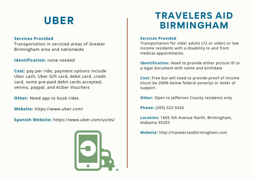# **UBER**

#### **Services Provided**

Transportation in serviced areas of Greater Birmingham area and nationwide

#### **Identification:** none needed

**Cost:** pay per ride, payment options include Uber cash, Uber Gift card, debit card, credit card, some pre-paid debit cards accepted, venmo, paypal, and eUber Vouchers

**Other:** Need app to book rides

**Website:** https://www.uber.com/

**Spanish Website:** https://www.uber.com/us/es/



# **TRAVELERS AID BIRMINGHAM**

#### **Services Provided**

Transportation for older adults (72 or older) or low income residents with a disability to and from medical appointments.

**Identification:** Need to provide either picture ID or a legal document with name and birthdate

**Cost:** Free but will need to provide proof of income (must be 200% below federal poverty) or letter of support

**Other:** Open to Jefferson County residents only

**Phone:** (205) 322-5426

**Location:** 1605 5th Avenue North, Birmingham, Alabama 35203

**Website:** http://travelersaidbirmingham.com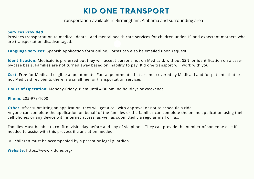### **KID ONE TRANSPORT**

Transportation available in Birmingham, Alabama and surrounding area

#### **Services Provided**

Provides transportation to medical, dental, and mental health care services for children under 19 and expectant mothers who are transportation disadvantaged.

**Language services:** Spanish Application form online. Forms can also be emailed upon request.

**Identification:** Medicaid is preferred but they will accept persons not on Medicaid, without SSN, or identification on a caseby-case basis. Families are not turned away based on inability to pay, Kid one transport will work with you

**Cost:** Free for Medicaid eligible appointments. For appointments that are not covered by Medicaid and for patients that are not Medicaid recipients there is a small fee for transportation services

**Hours of Operation:** Monday-Friday, 8 am until 4:30 pm, no holidays or weekends.

**Phone:** 205-978-1000

**Other:** After submitting an application, they will get a call with approval or not to schedule a ride. Anyone can complete the application on behalf of the families or the families can complete the online application using their cell phones or any device with internet access, as well as submitted via regular mail or fax.

Families Must be able to confirm visits day before and day of via phone. They can provide the number of someone else if needed to assist with this process if translation needed.

All children must be accompanied by a parent or legal guardian.

**Website:** https://www.kidone.org/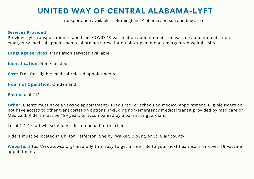### **UNITED WAY OF CENTRAL ALABAMA-LYFT**

Transportation available in Birmingham, Alabama and surrounding area

#### **Services Provided**

Provides Lyft transportation to and from COVID-19 vaccination appointments, flu vaccine appointments, nonemergency medical appointments, pharmacy/prescription pick-up, and non-emergency hospital visits

**Language services:** translation services available

**Identification:** None needed

**Cost:** Free for eligible medical-related appointments

**Hours of Operation:** On-demand

**Phone:** dial 211

**Other:** Clients must have a vaccine appointment (if required) or scheduled medical appointment. Eligible riders do not have access to other transportation options, including non-emergency medical transit provided by medicare or Medicaid. Riders must be 18+ years or accompanied by a parent or guardian.

Local 2-1-1 staff will schedule rides on behalf of the client.

Riders must be located in Chilton, Jefferson, Shelby, Walker, Blount, or St. Clair county.

**Website:** https://www.uwca.org/need-a-lyft-its-easy-to-get-a-free-ride-to-your-next-healthcare-or-covid-19-vaccineappointment/